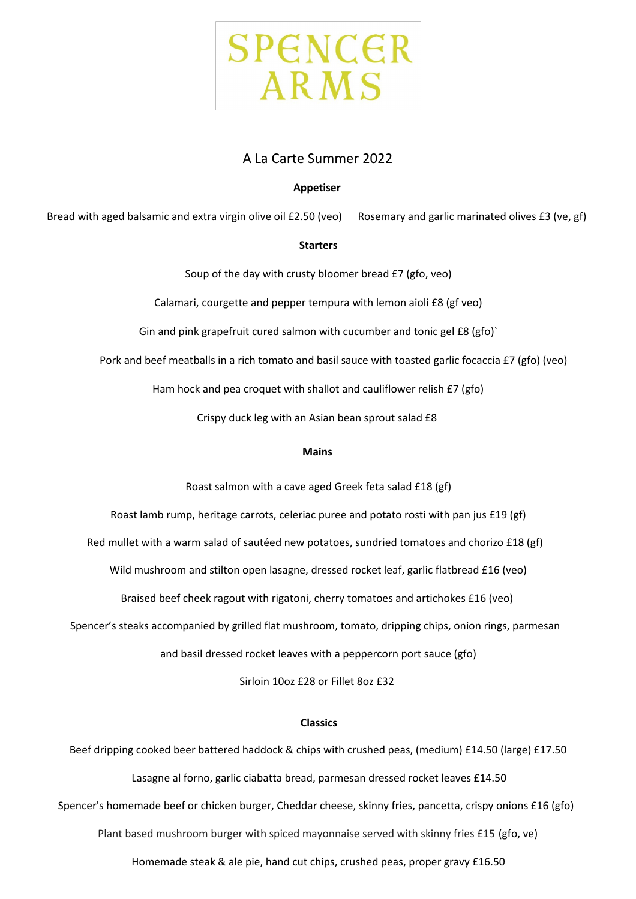

# A La Carte Summer 2022

## **Appetiser**

Bread with aged balsamic and extra virgin olive oil £2.50 (veo) Rosemary and garlic marinated olives £3 (ve, gf)

## **Starters**

Soup of the day with crusty bloomer bread £7 (gfo, veo)

Calamari, courgette and pepper tempura with lemon aioli £8 (gf veo)

Gin and pink grapefruit cured salmon with cucumber and tonic gel £8 (gfo)`

Pork and beef meatballs in a rich tomato and basil sauce with toasted garlic focaccia £7 (gfo) (veo)

Ham hock and pea croquet with shallot and cauliflower relish £7 (gfo)

Crispy duck leg with an Asian bean sprout salad £8

## **Mains**

Roast salmon with a cave aged Greek feta salad £18 (gf)

Roast lamb rump, heritage carrots, celeriac puree and potato rosti with pan jus £19 (gf)

Red mullet with a warm salad of sautéed new potatoes, sundried tomatoes and chorizo £18 (gf)

Wild mushroom and stilton open lasagne, dressed rocket leaf, garlic flatbread £16 (veo)

Braised beef cheek ragout with rigatoni, cherry tomatoes and artichokes £16 (veo)

Spencer's steaks accompanied by grilled flat mushroom, tomato, dripping chips, onion rings, parmesan

and basil dressed rocket leaves with a peppercorn port sauce (gfo)

Sirloin 10oz £28 or Fillet 8oz £32

## **Classics**

Beef dripping cooked beer battered haddock & chips with crushed peas, (medium) £14.50 (large) £17.50 Lasagne al forno, garlic ciabatta bread, parmesan dressed rocket leaves £14.50 Spencer's homemade beef or chicken burger, Cheddar cheese, skinny fries, pancetta, crispy onions £16 (gfo) Plant based mushroom burger with spiced mayonnaise served with skinny fries £15 (gfo, ve) Homemade steak & ale pie, hand cut chips, crushed peas, proper gravy £16.50